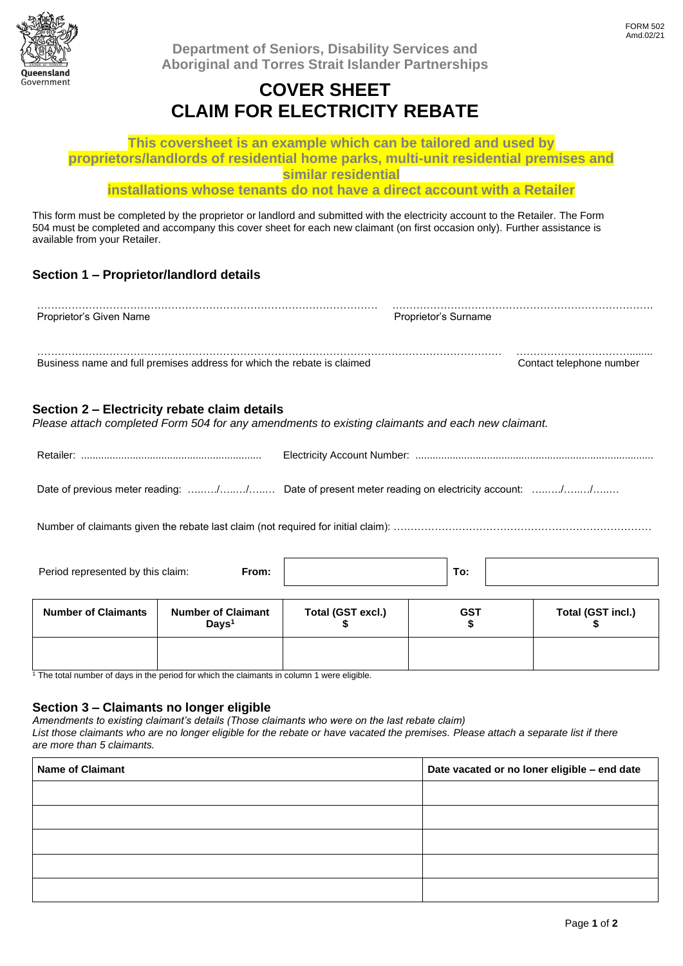

**Department of Seniors, Disability Services and Aboriginal and Torres Strait Islander Partnerships**

## **COVER SHEET CLAIM FOR ELECTRICITY REBATE**

**This coversheet is an example which can be tailored and used by proprietors/landlords of residential home parks, multi-unit residential premises and similar residential**

**installations whose tenants do not have a direct account with a Retailer**

This form must be completed by the proprietor or landlord and submitted with the electricity account to the Retailer. The Form 504 must be completed and accompany this cover sheet for each new claimant (on first occasion only). Further assistance is available from your Retailer.

## **Section 1 – Proprietor/landlord details**

| Proprietor's Given Name                                                 | Proprietor's Surname |                          |
|-------------------------------------------------------------------------|----------------------|--------------------------|
| Business name and full premises address for which the rebate is claimed |                      | Contact telephone number |

#### **Section 2 – Electricity rebate claim details**

*Please attach completed Form 504 for any amendments to existing claimants and each new claimant.*

| Date of previous meter reading: // Date of present meter reading on electricity account: // |
|---------------------------------------------------------------------------------------------|

Number of claimants given the rebate last claim (not required for initial claim): …………………………………………………………………………

| Period represented by this claim:<br>From: |  | v. |  |
|--------------------------------------------|--|----|--|
|                                            |  |    |  |

| <b>Number of Claimants</b> | <b>Number of Claimant</b><br>Days <sup>1</sup> | Total (GST excl.) | <b>GST</b> | Total (GST incl.) |
|----------------------------|------------------------------------------------|-------------------|------------|-------------------|
|                            |                                                |                   |            |                   |

<sup>1</sup> The total number of days in the period for which the claimants in column 1 were eligible.

#### **Section 3 – Claimants no longer eligible**

*Amendments to existing claimant's details (Those claimants who were on the last rebate claim)*

*List those claimants who are no longer eligible for the rebate or have vacated the premises. Please attach a separate list if there are more than 5 claimants.*

| <b>Name of Claimant</b> | Date vacated or no loner eligible - end date |  |  |
|-------------------------|----------------------------------------------|--|--|
|                         |                                              |  |  |
|                         |                                              |  |  |
|                         |                                              |  |  |
|                         |                                              |  |  |
|                         |                                              |  |  |